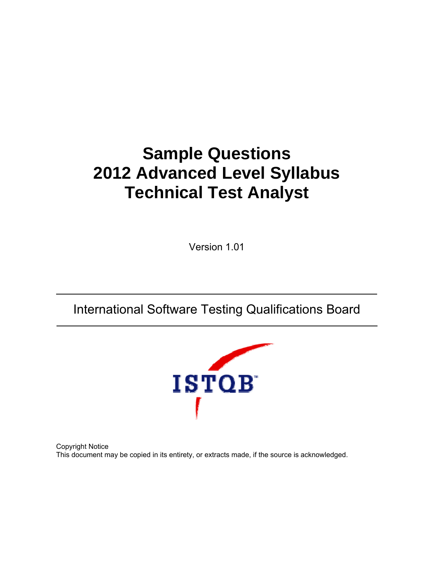# **Sample Questions 2012 Advanced Level Syllabus Technical Test Analyst**

Version 1.01

International Software Testing Qualifications Board



Copyright Notice This document may be copied in its entirety, or extracts made, if the source is acknowledged.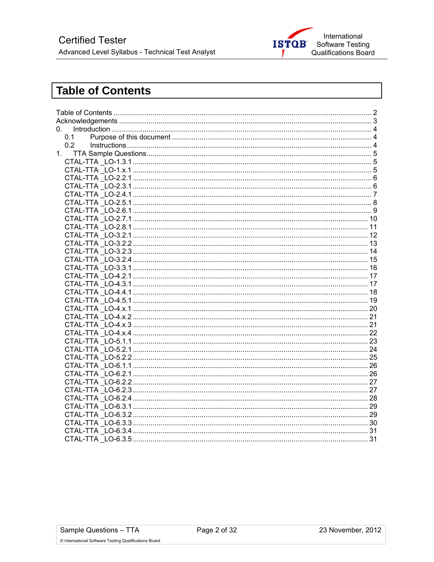

# **Table of Contents**

| 0 <sub>z</sub> |  |  |  |  |  |
|----------------|--|--|--|--|--|
| 0.1            |  |  |  |  |  |
| 0.2            |  |  |  |  |  |
|                |  |  |  |  |  |
|                |  |  |  |  |  |
|                |  |  |  |  |  |
|                |  |  |  |  |  |
|                |  |  |  |  |  |
|                |  |  |  |  |  |
|                |  |  |  |  |  |
|                |  |  |  |  |  |
|                |  |  |  |  |  |
|                |  |  |  |  |  |
|                |  |  |  |  |  |
|                |  |  |  |  |  |
|                |  |  |  |  |  |
|                |  |  |  |  |  |
|                |  |  |  |  |  |
|                |  |  |  |  |  |
|                |  |  |  |  |  |
|                |  |  |  |  |  |
|                |  |  |  |  |  |
|                |  |  |  |  |  |
|                |  |  |  |  |  |
|                |  |  |  |  |  |
|                |  |  |  |  |  |
|                |  |  |  |  |  |
|                |  |  |  |  |  |
|                |  |  |  |  |  |
|                |  |  |  |  |  |
|                |  |  |  |  |  |
|                |  |  |  |  |  |
|                |  |  |  |  |  |
|                |  |  |  |  |  |
|                |  |  |  |  |  |
|                |  |  |  |  |  |
|                |  |  |  |  |  |
|                |  |  |  |  |  |
|                |  |  |  |  |  |

© International Software Testing Qualifications Board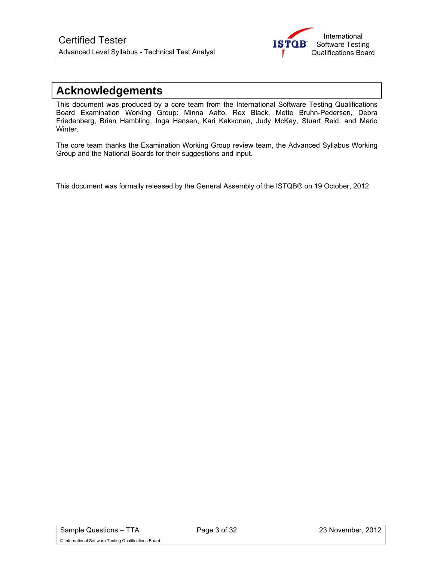

### **Acknowledgements**

This document was produced by a core team from the International Software Testing Qualifications Board Examination Working Group: Minna Aalto, Rex Black, Mette Bruhn-Pedersen, Debra Friedenberg, Brian Hambling, Inga Hansen, Kari Kakkonen, Judy McKay, Stuart Reid, and Mario Winter.

The core team thanks the Examination Working Group review team, the Advanced Syllabus Working Group and the National Boards for their suggestions and input.

This document was formally released by the General Assembly of the ISTQB® on 19 October, 2012.

© International Software Testing Qualifications Board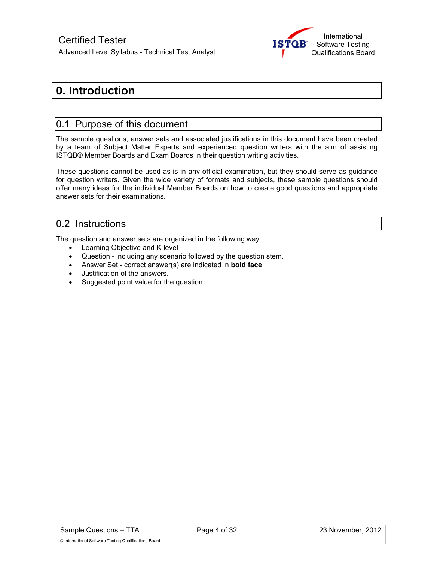

# **0. Introduction**

### 0.1 Purpose of this document

The sample questions, answer sets and associated justifications in this document have been created by a team of Subject Matter Experts and experienced question writers with the aim of assisting ISTQB® Member Boards and Exam Boards in their question writing activities.

These questions cannot be used as-is in any official examination, but they should serve as guidance for question writers. Given the wide variety of formats and subjects, these sample questions should offer many ideas for the individual Member Boards on how to create good questions and appropriate answer sets for their examinations.

### 0.2 Instructions

The question and answer sets are organized in the following way:

- Learning Objective and K-level
- Question including any scenario followed by the question stem.
- Answer Set correct answer(s) are indicated in **bold face**.
- Justification of the answers.
- Suggested point value for the question.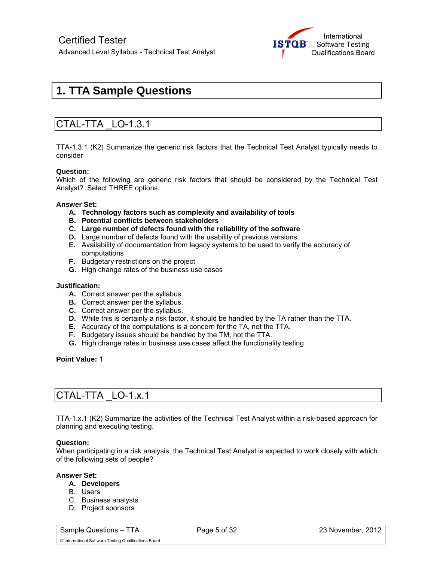

# **1. TTA Sample Questions**

### CTAL-TTA \_LO-1.3.1

TTA-1.3.1 (K2) Summarize the generic risk factors that the Technical Test Analyst typically needs to consider

### **Question:**

Which of the following are generic risk factors that should be considered by the Technical Test Analyst? Select THREE options.

### **Answer Set:**

- **A. Technology factors such as complexity and availability of tools**
- **B. Potential conflicts between stakeholders**
- **C. Large number of defects found with the reliability of the software**
- **D.** Large number of defects found with the usability of previous versions
- **E.** Availability of documentation from legacy systems to be used to verify the accuracy of computations
- **F.** Budgetary restrictions on the project
- **G.** High change rates of the business use cases

### **Justification:**

- **A.** Correct answer per the syllabus.
- **B.** Correct answer per the syllabus.
- **C.** Correct answer per the syllabus.
- **D.** While this is certainly a risk factor, it should be handled by the TA rather than the TTA.
- **E.** Accuracy of the computations is a concern for the TA, not the TTA.
- **F.** Budgetary issues should be handled by the TM, not the TTA.
- **G.** High change rates in business use cases affect the functionality testing

### **Point Value:** 1

# CTAL-TTA \_LO-1.x.1

TTA-1.x.1 (K2) Summarize the activities of the Technical Test Analyst within a risk-based approach for planning and executing testing.

### **Question:**

When participating in a risk analysis, the Technical Test Analyst is expected to work closely with which of the following sets of people?

### **Answer Set:**

### **A. Developers**

- B. Users
- C. Business analysts
- D. Project sponsors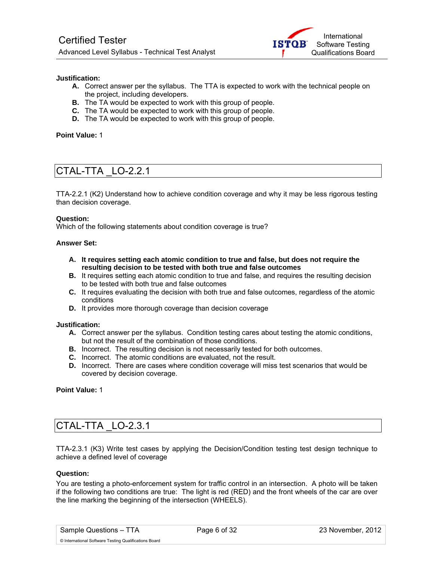

### **Justification:**

- **A.** Correct answer per the syllabus. The TTA is expected to work with the technical people on the project, including developers.
- **B.** The TA would be expected to work with this group of people.
- **C.** The TA would be expected to work with this group of people.
- **D.** The TA would be expected to work with this group of people.

### **Point Value:** 1

### CTAL-TTA \_LO-2.2.1

TTA-2.2.1 (K2) Understand how to achieve condition coverage and why it may be less rigorous testing than decision coverage.

### **Question:**

Which of the following statements about condition coverage is true?

### **Answer Set:**

- **A. It requires setting each atomic condition to true and false, but does not require the resulting decision to be tested with both true and false outcomes**
- **B.** It requires setting each atomic condition to true and false, and requires the resulting decision to be tested with both true and false outcomes
- **C.** It requires evaluating the decision with both true and false outcomes, regardless of the atomic conditions
- **D.** It provides more thorough coverage than decision coverage

#### **Justification:**

- **A.** Correct answer per the syllabus. Condition testing cares about testing the atomic conditions, but not the result of the combination of those conditions.
- **B.** Incorrect. The resulting decision is not necessarily tested for both outcomes.
- **C.** Incorrect. The atomic conditions are evaluated, not the result.
- **D.** Incorrect. There are cases where condition coverage will miss test scenarios that would be covered by decision coverage.

**Point Value:** 1

### CTAL-TTA \_LO-2.3.1

TTA-2.3.1 (K3) Write test cases by applying the Decision/Condition testing test design technique to achieve a defined level of coverage

### **Question:**

You are testing a photo-enforcement system for traffic control in an intersection. A photo will be taken if the following two conditions are true: The light is red (RED) and the front wheels of the car are over the line marking the beginning of the intersection (WHEELS).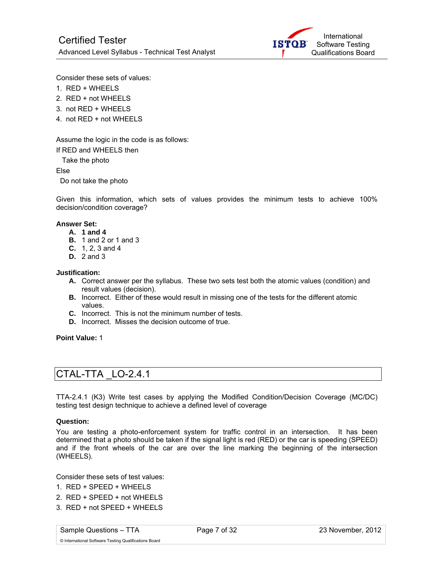

Consider these sets of values:

- 1. RED + WHEELS
- 2. RED + not WHEELS
- 3. not RED + WHEELS
- 4. not RED + not WHEELS

Assume the logic in the code is as follows:

If RED and WHEELS then

Take the photo

Else

Do not take the photo

Given this information, which sets of values provides the minimum tests to achieve 100% decision/condition coverage?

### **Answer Set:**

- **A. 1 and 4**
- **B.** 1 and 2 or 1 and 3
- **C.** 1, 2, 3 and 4
- **D.** 2 and 3

### **Justification:**

- **A.** Correct answer per the syllabus. These two sets test both the atomic values (condition) and result values (decision).
- **B.** Incorrect. Either of these would result in missing one of the tests for the different atomic values.
- **C.** Incorrect. This is not the minimum number of tests.
- **D.** Incorrect. Misses the decision outcome of true.

**Point Value:** 1

### CTAL-TTA \_LO-2.4.1

TTA-2.4.1 (K3) Write test cases by applying the Modified Condition/Decision Coverage (MC/DC) testing test design technique to achieve a defined level of coverage

### **Question:**

You are testing a photo-enforcement system for traffic control in an intersection. It has been determined that a photo should be taken if the signal light is red (RED) or the car is speeding (SPEED) and if the front wheels of the car are over the line marking the beginning of the intersection (WHEELS).

Consider these sets of test values:

- 1. RED + SPEED + WHEELS
- 2. RED + SPEED + not WHEELS
- 3. RED + not SPEED + WHEELS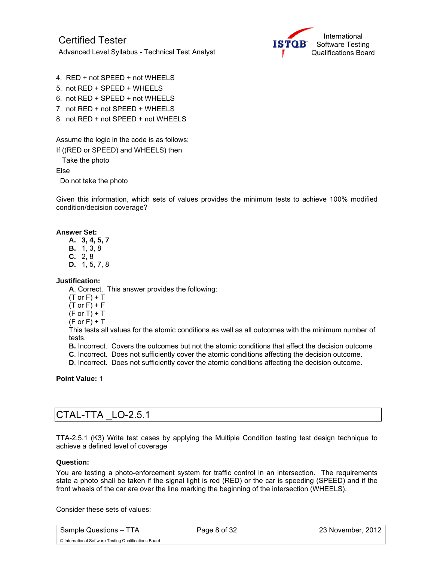

- 4. RED + not SPEED + not WHEELS
- 5. not RED + SPEED + WHEELS
- 6. not RED + SPEED + not WHEELS
- 7. not RED + not SPEED + WHEELS
- 8. not RED + not SPEED + not WHEELS

Assume the logic in the code is as follows:

If ((RED or SPEED) and WHEELS) then

Take the photo

Else

Do not take the photo

Given this information, which sets of values provides the minimum tests to achieve 100% modified condition/decision coverage?

### **Answer Set:**

**A. 3, 4, 5, 7** 

- **B.** 1, 3, 8
- **C.** 2, 8
- **D.** 1, 5, 7, 8

**Justification:** 

**A**. Correct. This answer provides the following:

- $(T$  or  $F$ ) + T
- $(T$  or  $F$ ) +  $F$
- $(F$  or  $T$ ) + T
- $(F \text{ or } F) + T$

This tests all values for the atomic conditions as well as all outcomes with the minimum number of tests.

**B.** Incorrect. Covers the outcomes but not the atomic conditions that affect the decision outcome

**C**. Incorrect. Does not sufficiently cover the atomic conditions affecting the decision outcome.

**D**. Incorrect. Does not sufficiently cover the atomic conditions affecting the decision outcome.

**Point Value:** 1

### CTAL-TTA \_LO-2.5.1

TTA-2.5.1 (K3) Write test cases by applying the Multiple Condition testing test design technique to achieve a defined level of coverage

### **Question:**

You are testing a photo-enforcement system for traffic control in an intersection. The requirements state a photo shall be taken if the signal light is red (RED) or the car is speeding (SPEED) and if the front wheels of the car are over the line marking the beginning of the intersection (WHEELS).

Consider these sets of values:

Sample Questions – TTA Page 8 of 32 23 November, 2012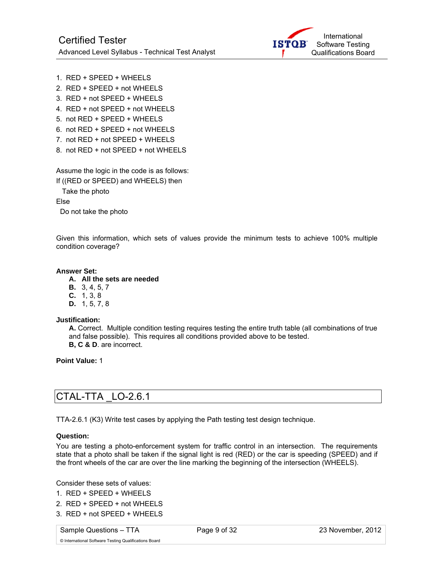

```
1. RED + SPEED + WHEELS
```
- 2. RED + SPEED + not WHEELS
- 3. RED + not SPEED + WHEELS
- 4. RED + not SPEED + not WHEELS
- 5. not RED + SPEED + WHEELS
- 6. not RED + SPEED + not WHEELS
- 7. not RED + not SPEED + WHEELS
- 8. not RED + not SPEED + not WHEELS

Assume the logic in the code is as follows:

If ((RED or SPEED) and WHEELS) then

Take the photo

Else

Do not take the photo

Given this information, which sets of values provide the minimum tests to achieve 100% multiple condition coverage?

### **Answer Set:**

### **A. All the sets are needed**

- **B.** 3, 4, 5, 7
- **C.** 1, 3, 8
- **D.** 1, 5, 7, 8

### **Justification:**

**A.** Correct. Multiple condition testing requires testing the entire truth table (all combinations of true and false possible). This requires all conditions provided above to be tested. **B, C & D**. are incorrect.

**Point Value:** 1

### CTAL-TTA \_LO-2.6.1

TTA-2.6.1 (K3) Write test cases by applying the Path testing test design technique.

### **Question:**

You are testing a photo-enforcement system for traffic control in an intersection. The requirements state that a photo shall be taken if the signal light is red (RED) or the car is speeding (SPEED) and if the front wheels of the car are over the line marking the beginning of the intersection (WHEELS).

Consider these sets of values:

- 1. RED + SPEED + WHEELS
- 2. RED + SPEED + not WHEELS
- 3. RED + not SPEED + WHEELS

Sample Questions – TTA Page 9 of 32 23 November, 2012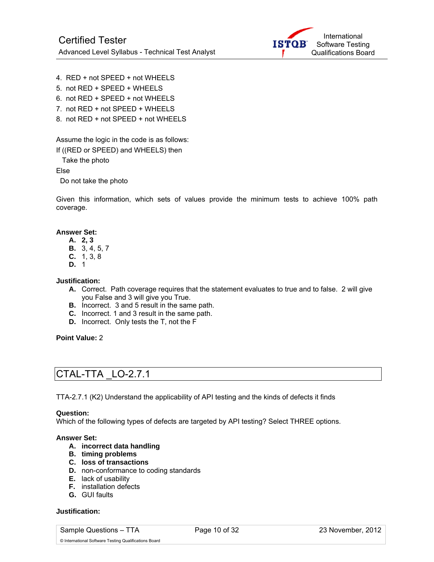

- 4. RED + not SPEED + not WHEELS
- 5. not RED + SPEED + WHEELS
- 6. not RED + SPEED + not WHEELS
- 7. not RED + not SPEED + WHEELS
- 8. not RED + not SPEED + not WHEELS

Assume the logic in the code is as follows:

If ((RED or SPEED) and WHEELS) then

Take the photo

Else

Do not take the photo

Given this information, which sets of values provide the minimum tests to achieve 100% path coverage.

### **Answer Set:**

- **A. 2, 3**
- **B.** 3, 4, 5, 7
- **C.** 1, 3, 8
- **D.** 1

**Justification:** 

- **A.** Correct. Path coverage requires that the statement evaluates to true and to false. 2 will give you False and 3 will give you True.
- **B.** Incorrect. 3 and 5 result in the same path.
- **C.** Incorrect. 1 and 3 result in the same path.
- **D.** Incorrect. Only tests the T, not the F

**Point Value:** 2

### CTAL-TTA \_LO-2.7.1

TTA-2.7.1 (K2) Understand the applicability of API testing and the kinds of defects it finds

### **Question:**

Which of the following types of defects are targeted by API testing? Select THREE options.

### **Answer Set:**

- **A. incorrect data handling**
- **B. timing problems**
- **C. loss of transactions**
- **D.** non-conformance to coding standards
- **E.** lack of usability
- **F.** installation defects
- **G.** GUI faults

### **Justification:**

Sample Questions – TTA Page 10 of 32 23 November, 2012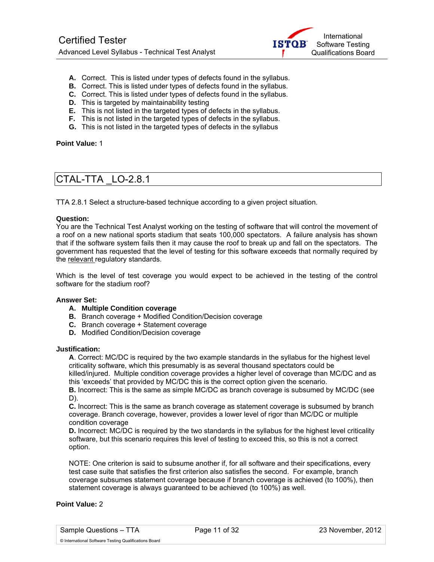

- **A.** Correct. This is listed under types of defects found in the syllabus.
- **B.** Correct. This is listed under types of defects found in the syllabus.
- **C.** Correct. This is listed under types of defects found in the syllabus.
- **D.** This is targeted by maintainability testing
- **E.** This is not listed in the targeted types of defects in the syllabus.
- **F.** This is not listed in the targeted types of defects in the syllabus.
- **G.** This is not listed in the targeted types of defects in the syllabus

**Point Value:** 1

### CTAL-TTA \_LO-2.8.1

TTA 2.8.1 Select a structure-based technique according to a given project situation.

### **Question:**

You are the Technical Test Analyst working on the testing of software that will control the movement of a roof on a new national sports stadium that seats 100,000 spectators. A failure analysis has shown that if the software system fails then it may cause the roof to break up and fall on the spectators. The government has requested that the level of testing for this software exceeds that normally required by the relevant regulatory standards.

Which is the level of test coverage you would expect to be achieved in the testing of the control software for the stadium roof?

### **Answer Set:**

- **A. Multiple Condition coverage**
- **B.** Branch coverage + Modified Condition/Decision coverage
- **C.** Branch coverage + Statement coverage
- **D.** Modified Condition/Decision coverage

#### **Justification:**

**A**. Correct: MC/DC is required by the two example standards in the syllabus for the highest level criticality software, which this presumably is as several thousand spectators could be killed/injured. Multiple condition coverage provides a higher level of coverage than MC/DC and as this 'exceeds' that provided by MC/DC this is the correct option given the scenario.

**B.** Incorrect: This is the same as simple MC/DC as branch coverage is subsumed by MC/DC (see D).

**C.** Incorrect: This is the same as branch coverage as statement coverage is subsumed by branch coverage. Branch coverage, however, provides a lower level of rigor than MC/DC or multiple condition coverage

**D.** Incorrect: MC/DC is required by the two standards in the syllabus for the highest level criticality software, but this scenario requires this level of testing to exceed this, so this is not a correct option.

NOTE: One criterion is said to subsume another if, for all software and their specifications, every test case suite that satisfies the first criterion also satisfies the second. For example, branch coverage subsumes statement coverage because if branch coverage is achieved (to 100%), then statement coverage is always guaranteed to be achieved (to 100%) as well.

### **Point Value:** 2

Sample Questions – TTA Page 11 of 32 23 November, 2012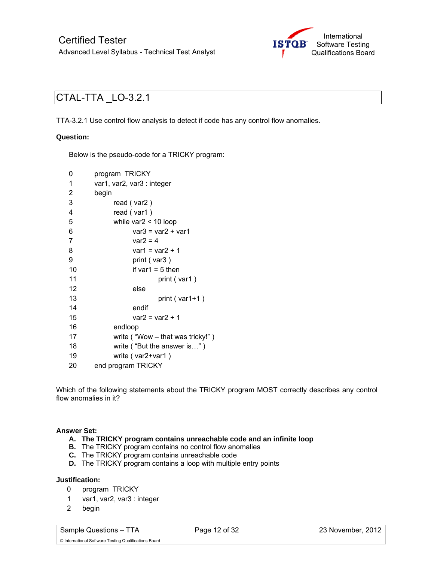

### CTAL-TTA \_LO-3.2.1

TTA-3.2.1 Use control flow analysis to detect if code has any control flow anomalies.

### **Question:**

Below is the pseudo-code for a TRICKY program:

| 0              | program TRICKY                     |  |  |  |
|----------------|------------------------------------|--|--|--|
| 1              | var1, var2, var3 : integer         |  |  |  |
| $\overline{2}$ | begin                              |  |  |  |
| 3              | read (var2)                        |  |  |  |
| 4              | read (var1)                        |  |  |  |
| 5              | while $\text{var2}$ < 10 loop      |  |  |  |
| 6              | $var3 = var2 + var1$               |  |  |  |
| 7              | $var2 = 4$                         |  |  |  |
| 8              | $var1 = var2 + 1$                  |  |  |  |
| 9              | print (var3)                       |  |  |  |
| 10             | if var1 = $5$ then                 |  |  |  |
| 11             | print (var1)                       |  |  |  |
| 12             | else                               |  |  |  |
| 13             | print $( var1+1 )$                 |  |  |  |
| 14             | endif                              |  |  |  |
| 15             | $var2 = var2 + 1$                  |  |  |  |
| 16             | endloop                            |  |  |  |
| 17             | write ("Wow $-$ that was tricky!") |  |  |  |
| 18             | write ("But the answer is")        |  |  |  |
| 19             | write (var2+var1)                  |  |  |  |
| 20             | end program TRICKY                 |  |  |  |

Which of the following statements about the TRICKY program MOST correctly describes any control flow anomalies in it?

### **Answer Set:**

- **A. The TRICKY program contains unreachable code and an infinite loop**
- **B.** The TRICKY program contains no control flow anomalies
- **C.** The TRICKY program contains unreachable code
- **D.** The TRICKY program contains a loop with multiple entry points

### **Justification:**

- 0 program TRICKY
- 1 var1, var2, var3 : integer
- 2 begin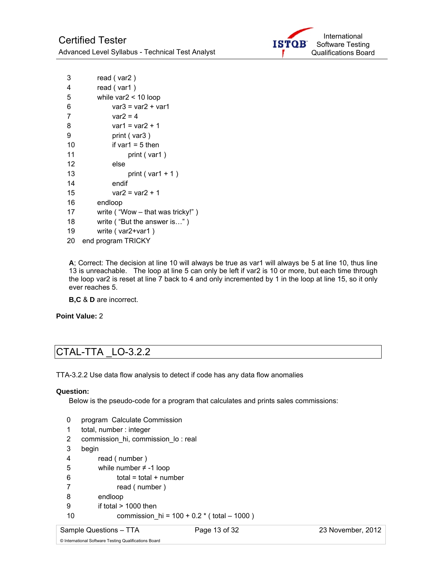

| 3  | read (var2)                        |  |  |  |  |
|----|------------------------------------|--|--|--|--|
| 4  | read (var1)                        |  |  |  |  |
| 5  | while $\text{var2}$ < 10 loop      |  |  |  |  |
| 6  | $var3 = var2 + var1$               |  |  |  |  |
| 7  | var2 = 4                           |  |  |  |  |
| 8  | var1 = var2 + 1                    |  |  |  |  |
| 9  | print (var3)                       |  |  |  |  |
| 10 | if var1 = 5 then                   |  |  |  |  |
| 11 | print (var1)                       |  |  |  |  |
| 12 | else                               |  |  |  |  |
| 13 | print ( $var1 + 1$ )               |  |  |  |  |
| 14 | endif                              |  |  |  |  |
| 15 | $var2 = var2 + 1$                  |  |  |  |  |
| 16 | endloop                            |  |  |  |  |
| 17 | write ("Wow $-$ that was tricky!") |  |  |  |  |
| 18 | write ("But the answer is")        |  |  |  |  |
| 19 | write (var2+var1)                  |  |  |  |  |
| 20 | end program TRICKY                 |  |  |  |  |

**A**; Correct: The decision at line 10 will always be true as var1 will always be 5 at line 10, thus line 13 is unreachable. The loop at line 5 can only be left if var2 is 10 or more, but each time through the loop var2 is reset at line 7 back to 4 and only incremented by 1 in the loop at line 15, so it only ever reaches 5.

**B,C** & **D** are incorrect.

**Point Value:** 2

# CTAL-TTA \_LO-3.2.2

TTA-3.2.2 Use data flow analysis to detect if code has any data flow anomalies

### **Question:**

Below is the pseudo-code for a program that calculates and prints sales commissions:

- 0 program Calculate Commission
- 1 total, number : integer
- 2 commission\_hi, commission\_lo : real
- 3 begin
- 4 read ( number )
- 5 while number ≠ -1 loop
- $6$  total = total + number
- 7 read ( number )
- 8 endloop
- 9 if total > 1000 then
- 10 commission\_hi = 100 + 0.2 \* ( total 1000 )

Sample Questions – TTA Page 13 of 32 23 November, 2012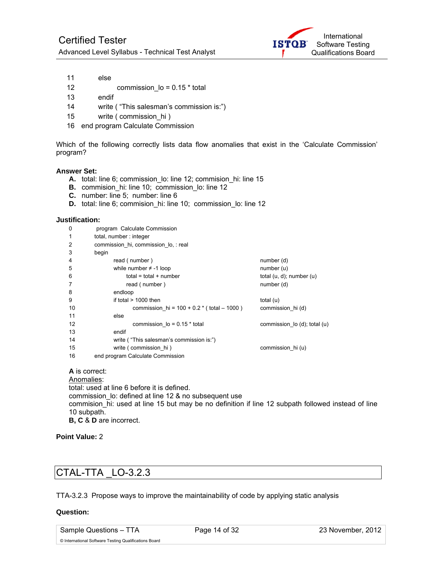

- 11 else
- 12 commission  $I_0 = 0.15$  \* total
- 13 endif
- 14 write ( "This salesman's commission is:")
- 15 write (commission hi)
- 16 end program Calculate Commission

Which of the following correctly lists data flow anomalies that exist in the 'Calculate Commission' program?

### **Answer Set:**

- **A.** total: line 6; commission lo: line 12; commision hi: line 15
- **B.** commision\_hi: line 10; commission\_lo: line 12
- **C.** number: line 5; number: line 6
- **D.** total: line 6; commision hi: line 10; commission lo: line 12

#### **Justification:**

| 0  | program Calculate Commission                 |                                  |  |  |  |  |  |
|----|----------------------------------------------|----------------------------------|--|--|--|--|--|
| 1  | total, number: integer                       |                                  |  |  |  |  |  |
| 2  | commission hi, commission lo, : real         |                                  |  |  |  |  |  |
| 3  | begin                                        |                                  |  |  |  |  |  |
| 4  | read (number)                                | number (d)                       |  |  |  |  |  |
| 5  | while number $\neq$ -1 loop                  | number(u)                        |  |  |  |  |  |
| 6  | $total = total + number$                     | total $(u, d)$ ; number $(u)$    |  |  |  |  |  |
| 7  | read (number)                                | number (d)                       |  |  |  |  |  |
| 8  | endloop                                      |                                  |  |  |  |  |  |
| 9  | if total $> 1000$ then                       | total $(u)$                      |  |  |  |  |  |
| 10 | commission $hi = 100 + 0.2 * (total - 1000)$ | commission_hi(d)                 |  |  |  |  |  |
| 11 | else                                         |                                  |  |  |  |  |  |
| 12 | commission $I_o = 0.15$ * total              | commission $\log$ (d); total (u) |  |  |  |  |  |
| 13 | endif                                        |                                  |  |  |  |  |  |
| 14 | write ("This salesman's commission is:")     |                                  |  |  |  |  |  |
| 15 | write (commission hi)                        | commission hi (u)                |  |  |  |  |  |
| 16 | end program Calculate Commission             |                                  |  |  |  |  |  |
|    |                                              |                                  |  |  |  |  |  |

**A** is correct: Anomalies: total: used at line 6 before it is defined. commission lo: defined at line 12 & no subsequent use commision\_hi: used at line 15 but may be no definition if line 12 subpath followed instead of line 10 subpath. **B, C** & **D** are incorrect.

**Point Value:** 2

### CTAL-TTA \_LO-3.2.3

TTA-3.2.3 Propose ways to improve the maintainability of code by applying static analysis

#### **Question:**

Sample Questions – TTA Page 14 of 32 23 November, 2012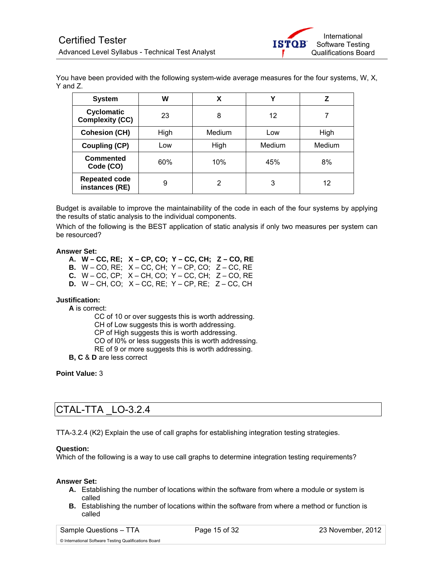

You have been provided with the following system-wide average measures for the four systems, W, X, Y and Z.

| <b>System</b>                               | W    | X      |        | z      |
|---------------------------------------------|------|--------|--------|--------|
| <b>Cyclomatic</b><br><b>Complexity (CC)</b> | 23   | 8      | 12     |        |
| <b>Cohesion (CH)</b>                        | High | Medium | Low    | High   |
| <b>Coupling (CP)</b>                        | Low  | High   | Medium | Medium |
| <b>Commented</b><br>Code (CO)               | 60%  | 10%    | 45%    | 8%     |
| <b>Repeated code</b><br>instances (RE)      | 9    | 2      | 3      | 12     |

Budget is available to improve the maintainability of the code in each of the four systems by applying the results of static analysis to the individual components.

Which of the following is the BEST application of static analysis if only two measures per system can be resourced?

### **Answer Set:**

**A. W – CC, RE; X – CP, CO; Y – CC, CH; Z – CO, RE B.** W – CO, RE; X – CC, CH; Y – CP, CO; Z – CC, RE **C.** W – CC, CP; X – CH, CO; Y – CC, CH; Z – CO, RE **D.** W – CH, CO; X – CC, RE; Y – CP, RE; Z – CC, CH

### **Justification:**

**A** is correct:

CC of 10 or over suggests this is worth addressing. CH of Low suggests this is worth addressing. CP of High suggests this is worth addressing. CO of  $10\%$  or less suggests this is worth addressing. RE of 9 or more suggests this is worth addressing.

**B, C** & **D** are less correct

**Point Value:** 3

### CTAL-TTA \_LO-3.2.4

TTA-3.2.4 (K2) Explain the use of call graphs for establishing integration testing strategies.

#### **Question:**

Which of the following is a way to use call graphs to determine integration testing requirements?

#### **Answer Set:**

- **A.** Establishing the number of locations within the software from where a module or system is called
- **B.** Establishing the number of locations within the software from where a method or function is called

© International Software Testing Qualifications Board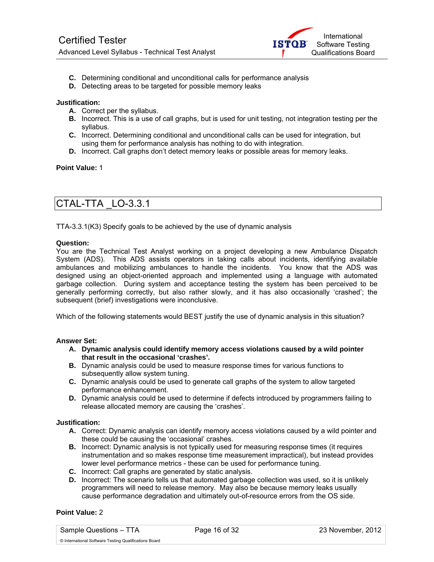

- **C.** Determining conditional and unconditional calls for performance analysis
- **D.** Detecting areas to be targeted for possible memory leaks

### **Justification:**

- **A.** Correct per the syllabus.
- **B.** Incorrect. This is a use of call graphs, but is used for unit testing, not integration testing per the syllabus.
- **C.** Incorrect. Determining conditional and unconditional calls can be used for integration, but using them for performance analysis has nothing to do with integration.
- **D.** Incorrect. Call graphs don't detect memory leaks or possible areas for memory leaks.

### **Point Value:** 1

### CTAL-TTA \_LO-3.3.1

TTA-3.3.1(K3) Specify goals to be achieved by the use of dynamic analysis

### **Question:**

You are the Technical Test Analyst working on a project developing a new Ambulance Dispatch System (ADS). This ADS assists operators in taking calls about incidents, identifying available ambulances and mobilizing ambulances to handle the incidents. You know that the ADS was designed using an object-oriented approach and implemented using a language with automated garbage collection. During system and acceptance testing the system has been perceived to be generally performing correctly, but also rather slowly, and it has also occasionally 'crashed'; the subsequent (brief) investigations were inconclusive.

Which of the following statements would BEST justify the use of dynamic analysis in this situation?

### **Answer Set:**

- **A. Dynamic analysis could identify memory access violations caused by a wild pointer that result in the occasional 'crashes'.**
- **B.** Dynamic analysis could be used to measure response times for various functions to subsequently allow system tuning.
- **C.** Dynamic analysis could be used to generate call graphs of the system to allow targeted performance enhancement.
- **D.** Dynamic analysis could be used to determine if defects introduced by programmers failing to release allocated memory are causing the 'crashes'.

### **Justification:**

- **A.** Correct: Dynamic analysis can identify memory access violations caused by a wild pointer and these could be causing the 'occasional' crashes.
- **B.** Incorrect: Dynamic analysis is not typically used for measuring response times (it requires instrumentation and so makes response time measurement impractical), but instead provides lower level performance metrics - these can be used for performance tuning.
- **C.** Incorrect: Call graphs are generated by static analysis.
- **D.** Incorrect: The scenario tells us that automated garbage collection was used, so it is unlikely programmers will need to release memory. May also be because memory leaks usually cause performance degradation and ultimately out-of-resource errors from the OS side.

### **Point Value:** 2

Sample Questions – TTA Page 16 of 32 23 November, 2012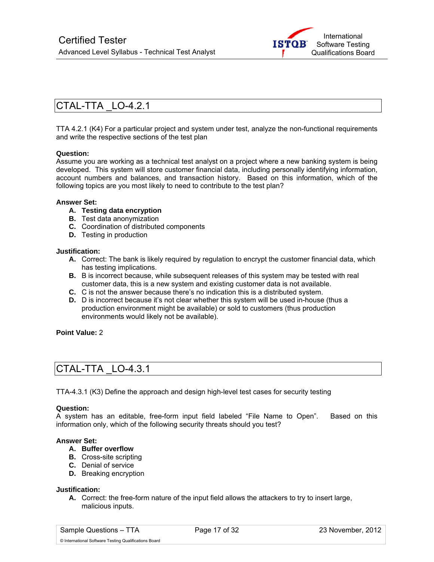

### CTAL-TTA \_LO-4.2.1

TTA 4.2.1 (K4) For a particular project and system under test, analyze the non-functional requirements and write the respective sections of the test plan

### **Question:**

Assume you are working as a technical test analyst on a project where a new banking system is being developed. This system will store customer financial data, including personally identifying information, account numbers and balances, and transaction history. Based on this information, which of the following topics are you most likely to need to contribute to the test plan?

### **Answer Set:**

- **A. Testing data encryption**
- **B.** Test data anonymization
- **C.** Coordination of distributed components
- **D.** Testing in production

#### **Justification:**

- **A.** Correct: The bank is likely required by regulation to encrypt the customer financial data, which has testing implications.
- **B.** B is incorrect because, while subsequent releases of this system may be tested with real customer data, this is a new system and existing customer data is not available.
- **C.** C is not the answer because there's no indication this is a distributed system.
- **D.** D is incorrect because it's not clear whether this system will be used in-house (thus a production environment might be available) or sold to customers (thus production environments would likely not be available).

### **Point Value:** 2

### CTAL-TTA \_LO-4.3.1

TTA-4.3.1 (K3) Define the approach and design high-level test cases for security testing

#### **Question:**

A system has an editable, free-form input field labeled "File Name to Open". Based on this information only, which of the following security threats should you test?

### **Answer Set:**

- **A. Buffer overflow**
- **B.** Cross-site scripting
- **C.** Denial of service
- **D.** Breaking encryption

#### **Justification:**

**A.** Correct: the free-form nature of the input field allows the attackers to try to insert large, malicious inputs.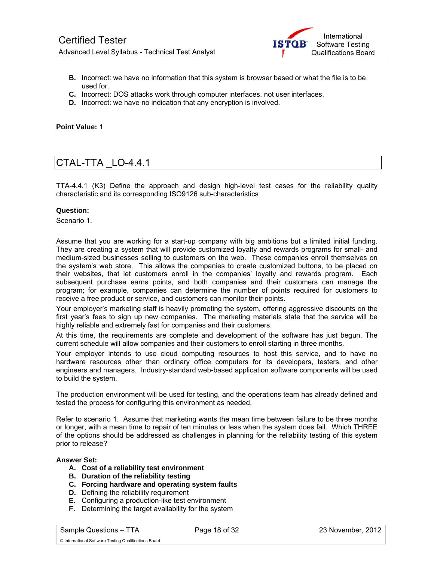

- **B.** Incorrect: we have no information that this system is browser based or what the file is to be used for.
- **C.** Incorrect: DOS attacks work through computer interfaces, not user interfaces.
- **D.** Incorrect: we have no indication that any encryption is involved.

**Point Value:** 1

### CTAL-TTA \_LO-4.4.1

TTA-4.4.1 (K3) Define the approach and design high-level test cases for the reliability quality characteristic and its corresponding ISO9126 sub-characteristics

### **Question:**

Scenario 1.

Assume that you are working for a start-up company with big ambitions but a limited initial funding. They are creating a system that will provide customized loyalty and rewards programs for small- and medium-sized businesses selling to customers on the web. These companies enroll themselves on the system's web store. This allows the companies to create customized buttons, to be placed on their websites, that let customers enroll in the companies' loyalty and rewards program. Each subsequent purchase earns points, and both companies and their customers can manage the program; for example, companies can determine the number of points required for customers to receive a free product or service, and customers can monitor their points.

Your employer's marketing staff is heavily promoting the system, offering aggressive discounts on the first year's fees to sign up new companies. The marketing materials state that the service will be highly reliable and extremely fast for companies and their customers.

At this time, the requirements are complete and development of the software has just begun. The current schedule will allow companies and their customers to enroll starting in three months.

Your employer intends to use cloud computing resources to host this service, and to have no hardware resources other than ordinary office computers for its developers, testers, and other engineers and managers. Industry-standard web-based application software components will be used to build the system.

The production environment will be used for testing, and the operations team has already defined and tested the process for configuring this environment as needed.

Refer to scenario 1. Assume that marketing wants the mean time between failure to be three months or longer, with a mean time to repair of ten minutes or less when the system does fail. Which THREE of the options should be addressed as challenges in planning for the reliability testing of this system prior to release?

#### **Answer Set:**

- **A. Cost of a reliability test environment**
- **B. Duration of the reliability testing**
- **C. Forcing hardware and operating system faults**
- **D.** Defining the reliability requirement
- **E.** Configuring a production-like test environment
- **F.** Determining the target availability for the system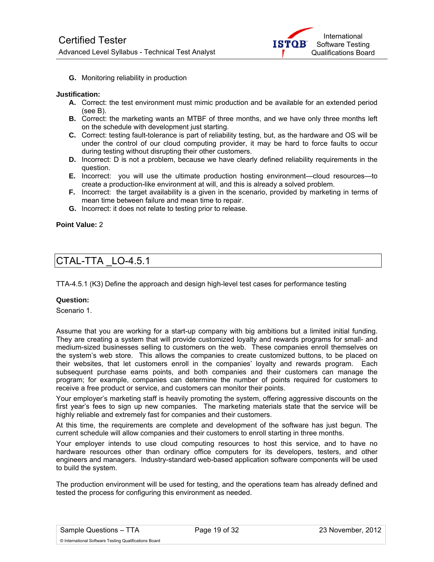

**G.** Monitoring reliability in production

### **Justification:**

- **A.** Correct: the test environment must mimic production and be available for an extended period (see B).
- **B.** Correct: the marketing wants an MTBF of three months, and we have only three months left on the schedule with development just starting.
- **C.** Correct: testing fault-tolerance is part of reliability testing, but, as the hardware and OS will be under the control of our cloud computing provider, it may be hard to force faults to occur during testing without disrupting their other customers.
- **D.** Incorrect: D is not a problem, because we have clearly defined reliability requirements in the question.
- **E.** Incorrect: you will use the ultimate production hosting environment—cloud resources—to create a production-like environment at will, and this is already a solved problem.
- **F.** Incorrect: the target availability is a given in the scenario, provided by marketing in terms of mean time between failure and mean time to repair.
- **G.** Incorrect: it does not relate to testing prior to release.

### **Point Value:** 2

### CTAL-TTA \_LO-4.5.1

TTA-4.5.1 (K3) Define the approach and design high-level test cases for performance testing

### **Question:**

Scenario 1.

Assume that you are working for a start-up company with big ambitions but a limited initial funding. They are creating a system that will provide customized loyalty and rewards programs for small- and medium-sized businesses selling to customers on the web. These companies enroll themselves on the system's web store. This allows the companies to create customized buttons, to be placed on their websites, that let customers enroll in the companies' loyalty and rewards program. Each subsequent purchase earns points, and both companies and their customers can manage the program; for example, companies can determine the number of points required for customers to receive a free product or service, and customers can monitor their points.

Your employer's marketing staff is heavily promoting the system, offering aggressive discounts on the first year's fees to sign up new companies. The marketing materials state that the service will be highly reliable and extremely fast for companies and their customers.

At this time, the requirements are complete and development of the software has just begun. The current schedule will allow companies and their customers to enroll starting in three months.

Your employer intends to use cloud computing resources to host this service, and to have no hardware resources other than ordinary office computers for its developers, testers, and other engineers and managers. Industry-standard web-based application software components will be used to build the system.

The production environment will be used for testing, and the operations team has already defined and tested the process for configuring this environment as needed.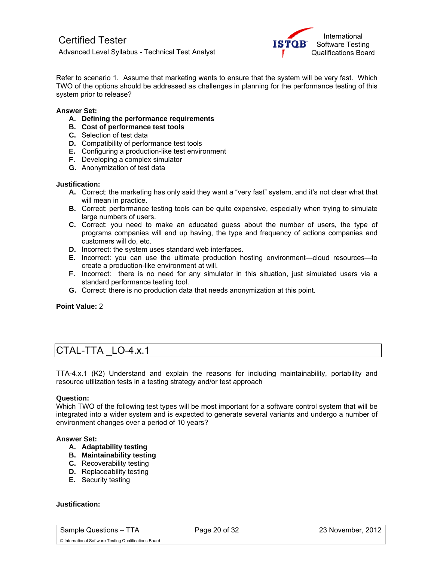

Refer to scenario 1. Assume that marketing wants to ensure that the system will be very fast. Which TWO of the options should be addressed as challenges in planning for the performance testing of this system prior to release?

### **Answer Set:**

- **A. Defining the performance requirements**
- **B. Cost of performance test tools**
- **C.** Selection of test data
- **D.** Compatibility of performance test tools
- **E.** Configuring a production-like test environment
- **F.** Developing a complex simulator
- **G.** Anonymization of test data

#### **Justification:**

- **A.** Correct: the marketing has only said they want a "very fast" system, and it's not clear what that will mean in practice.
- **B.** Correct: performance testing tools can be quite expensive, especially when trying to simulate large numbers of users.
- **C.** Correct: you need to make an educated guess about the number of users, the type of programs companies will end up having, the type and frequency of actions companies and customers will do, etc.
- **D.** Incorrect: the system uses standard web interfaces.
- **E.** Incorrect: you can use the ultimate production hosting environment—cloud resources—to create a production-like environment at will.
- **F.** Incorrect: there is no need for any simulator in this situation, just simulated users via a standard performance testing tool.
- **G.** Correct: there is no production data that needs anonymization at this point.

**Point Value:** 2

### CTAL-TTA \_LO-4.x.1

TTA-4.x.1 (K2) Understand and explain the reasons for including maintainability, portability and resource utilization tests in a testing strategy and/or test approach

#### **Question:**

Which TWO of the following test types will be most important for a software control system that will be integrated into a wider system and is expected to generate several variants and undergo a number of environment changes over a period of 10 years?

### **Answer Set:**

- **A. Adaptability testing**
- **B. Maintainability testing**
- **C.** Recoverability testing
- **D.** Replaceability testing
- **E.** Security testing

### **Justification:**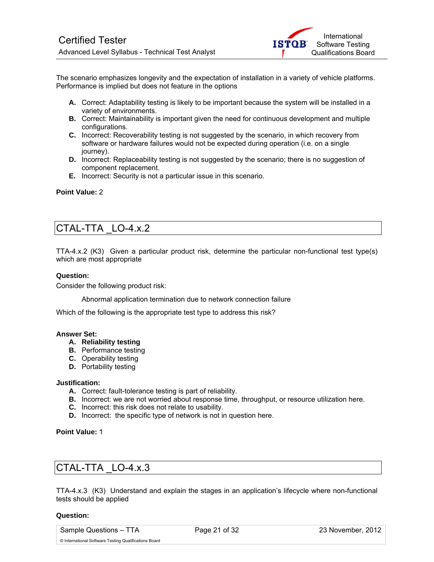

The scenario emphasizes longevity and the expectation of installation in a variety of vehicle platforms. Performance is implied but does not feature in the options

- **A.** Correct: Adaptability testing is likely to be important because the system will be installed in a variety of environments.
- **B.** Correct: Maintainability is important given the need for continuous development and multiple configurations.
- **C.** Incorrect: Recoverability testing is not suggested by the scenario, in which recovery from software or hardware failures would not be expected during operation (i.e. on a single journey).
- **D.** Incorrect: Replaceability testing is not suggested by the scenario; there is no suggestion of component replacement.
- **E.** Incorrect: Security is not a particular issue in this scenario.

### **Point Value:** 2

### CTAL-TTA \_LO-4.x.2

TTA-4.x.2 (K3) Given a particular product risk, determine the particular non-functional test type(s) which are most appropriate

### **Question:**

Consider the following product risk:

Abnormal application termination due to network connection failure

Which of the following is the appropriate test type to address this risk?

### **Answer Set:**

- **A. Reliability testing**
- **B.** Performance testing
- **C.** Operability testing
- **D.** Portability testing

### **Justification:**

- **A.** Correct: fault-tolerance testing is part of reliability.
- **B.** Incorrect: we are not worried about response time, throughput, or resource utilization here.
- **C.** Incorrect: this risk does not relate to usability.
- **D.** Incorrect: the specific type of network is not in question here.

**Point Value:** 1

# CTAL-TTA \_LO-4.x.3

TTA-4.x.3 (K3) Understand and explain the stages in an application's lifecycle where non-functional tests should be applied

#### **Question:**

Sample Questions – TTA Page 21 of 32 23 November, 2012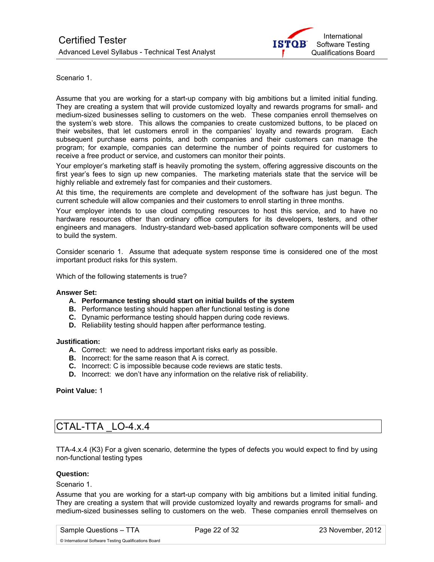

Scenario 1.

Assume that you are working for a start-up company with big ambitions but a limited initial funding. They are creating a system that will provide customized loyalty and rewards programs for small- and medium-sized businesses selling to customers on the web. These companies enroll themselves on the system's web store. This allows the companies to create customized buttons, to be placed on their websites, that let customers enroll in the companies' loyalty and rewards program. Each subsequent purchase earns points, and both companies and their customers can manage the program; for example, companies can determine the number of points required for customers to receive a free product or service, and customers can monitor their points.

Your employer's marketing staff is heavily promoting the system, offering aggressive discounts on the first year's fees to sign up new companies. The marketing materials state that the service will be highly reliable and extremely fast for companies and their customers.

At this time, the requirements are complete and development of the software has just begun. The current schedule will allow companies and their customers to enroll starting in three months.

Your employer intends to use cloud computing resources to host this service, and to have no hardware resources other than ordinary office computers for its developers, testers, and other engineers and managers. Industry-standard web-based application software components will be used to build the system.

Consider scenario 1. Assume that adequate system response time is considered one of the most important product risks for this system.

Which of the following statements is true?

### **Answer Set:**

- **A. Performance testing should start on initial builds of the system**
- **B.** Performance testing should happen after functional testing is done
- **C.** Dynamic performance testing should happen during code reviews.
- **D.** Reliability testing should happen after performance testing.

#### **Justification:**

- **A.** Correct: we need to address important risks early as possible.
- **B.** Incorrect: for the same reason that A is correct.
- **C.** Incorrect: C is impossible because code reviews are static tests.
- **D.** Incorrect: we don't have any information on the relative risk of reliability.

### **Point Value:** 1

### CTAL-TTA \_LO-4.x.4

TTA-4.x.4 (K3) For a given scenario, determine the types of defects you would expect to find by using non-functional testing types

### **Question:**

Scenario 1.

Assume that you are working for a start-up company with big ambitions but a limited initial funding. They are creating a system that will provide customized loyalty and rewards programs for small- and medium-sized businesses selling to customers on the web. These companies enroll themselves on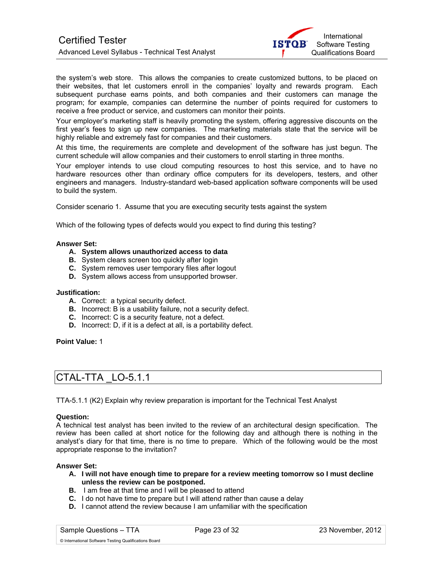

the system's web store. This allows the companies to create customized buttons, to be placed on their websites, that let customers enroll in the companies' loyalty and rewards program. Each subsequent purchase earns points, and both companies and their customers can manage the program; for example, companies can determine the number of points required for customers to receive a free product or service, and customers can monitor their points.

Your employer's marketing staff is heavily promoting the system, offering aggressive discounts on the first year's fees to sign up new companies. The marketing materials state that the service will be highly reliable and extremely fast for companies and their customers.

At this time, the requirements are complete and development of the software has just begun. The current schedule will allow companies and their customers to enroll starting in three months.

Your employer intends to use cloud computing resources to host this service, and to have no hardware resources other than ordinary office computers for its developers, testers, and other engineers and managers. Industry-standard web-based application software components will be used to build the system.

Consider scenario 1. Assume that you are executing security tests against the system

Which of the following types of defects would you expect to find during this testing?

### **Answer Set:**

- **A. System allows unauthorized access to data**
- **B.** System clears screen too quickly after login
- **C.** System removes user temporary files after logout
- **D.** System allows access from unsupported browser.

#### **Justification:**

- **A.** Correct: a typical security defect.
- **B.** Incorrect: B is a usability failure, not a security defect.
- **C.** Incorrect: C is a security feature, not a defect.
- **D.** Incorrect: D, if it is a defect at all, is a portability defect.

#### **Point Value:** 1

### CTAL-TTA \_LO-5.1.1

TTA-5.1.1 (K2) Explain why review preparation is important for the Technical Test Analyst

#### **Question:**

A technical test analyst has been invited to the review of an architectural design specification. The review has been called at short notice for the following day and although there is nothing in the analyst's diary for that time, there is no time to prepare. Which of the following would be the most appropriate response to the invitation?

### **Answer Set:**

- **A. I will not have enough time to prepare for a review meeting tomorrow so I must decline unless the review can be postponed.**
- **B.** I am free at that time and I will be pleased to attend
- **C.** I do not have time to prepare but I will attend rather than cause a delay
- **D.** I cannot attend the review because I am unfamiliar with the specification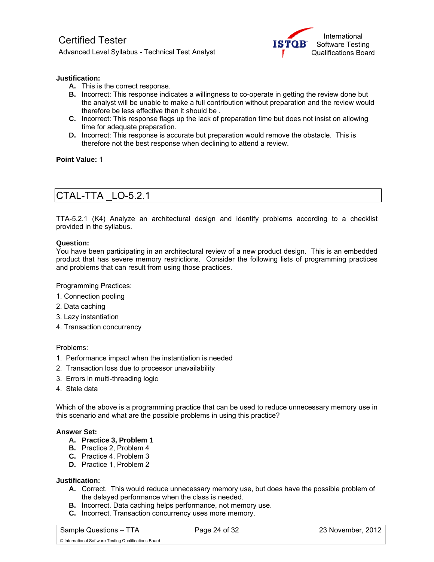

### **Justification:**

- **A.** This is the correct response.
- **B.** Incorrect: This response indicates a willingness to co-operate in getting the review done but the analyst will be unable to make a full contribution without preparation and the review would therefore be less effective than it should be .
- **C.** Incorrect: This response flags up the lack of preparation time but does not insist on allowing time for adequate preparation.
- **D.** Incorrect: This response is accurate but preparation would remove the obstacle. This is therefore not the best response when declining to attend a review.

### **Point Value:** 1

# CTAL-TTA \_LO-5.2.1

TTA-5.2.1 (K4) Analyze an architectural design and identify problems according to a checklist provided in the syllabus.

### **Question:**

You have been participating in an architectural review of a new product design. This is an embedded product that has severe memory restrictions. Consider the following lists of programming practices and problems that can result from using those practices.

Programming Practices:

- 1. Connection pooling
- 2. Data caching
- 3. Lazy instantiation
- 4. Transaction concurrency

### Problems:

- 1. Performance impact when the instantiation is needed
- 2. Transaction loss due to processor unavailability
- 3. Errors in multi-threading logic
- 4. Stale data

Which of the above is a programming practice that can be used to reduce unnecessary memory use in this scenario and what are the possible problems in using this practice?

### **Answer Set:**

- **A. Practice 3, Problem 1**
- **B.** Practice 2, Problem 4
- **C.** Practice 4, Problem 3
- **D.** Practice 1, Problem 2

### **Justification:**

- **A.** Correct. This would reduce unnecessary memory use, but does have the possible problem of the delayed performance when the class is needed.
- **B.** Incorrect. Data caching helps performance, not memory use.
- **C.** Incorrect. Transaction concurrency uses more memory.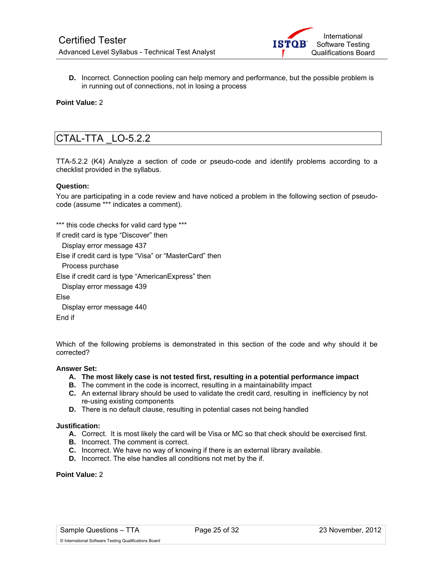

**D.** Incorrect. Connection pooling can help memory and performance, but the possible problem is in running out of connections, not in losing a process

### **Point Value:** 2

### CTAL-TTA \_LO-5.2.2

TTA-5.2.2 (K4) Analyze a section of code or pseudo-code and identify problems according to a checklist provided in the syllabus.

### **Question:**

You are participating in a code review and have noticed a problem in the following section of pseudocode (assume \*\*\* indicates a comment).

\*\*\* this code checks for valid card type \*\*\*

If credit card is type "Discover" then

Display error message 437

Else if credit card is type "Visa" or "MasterCard" then

Process purchase

Else if credit card is type "AmericanExpress" then

Display error message 439

Else

 Display error message 440 End if

Which of the following problems is demonstrated in this section of the code and why should it be corrected?

### **Answer Set:**

- **A. The most likely case is not tested first, resulting in a potential performance impact**
- **B.** The comment in the code is incorrect, resulting in a maintainability impact
- **C.** An external library should be used to validate the credit card, resulting in inefficiency by not re-using existing components
- **D.** There is no default clause, resulting in potential cases not being handled

### **Justification:**

- **A.** Correct. It is most likely the card will be Visa or MC so that check should be exercised first.
- **B.** Incorrect. The comment is correct.
- **C.** Incorrect. We have no way of knowing if there is an external library available.
- **D.** Incorrect. The else handles all conditions not met by the if.

### **Point Value:** 2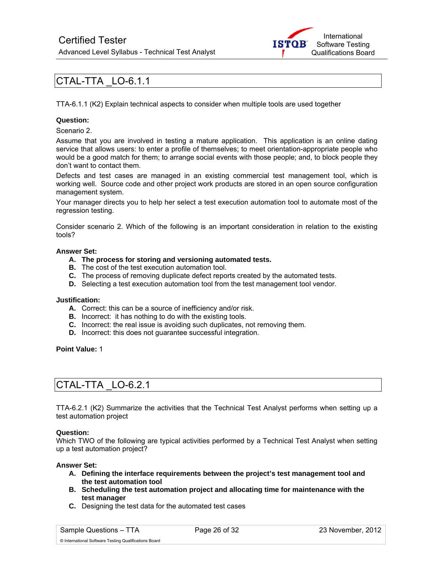

### CTAL-TTA \_LO-6.1.1

TTA-6.1.1 (K2) Explain technical aspects to consider when multiple tools are used together

### **Question:**

Scenario 2.

Assume that you are involved in testing a mature application. This application is an online dating service that allows users: to enter a profile of themselves; to meet orientation-appropriate people who would be a good match for them; to arrange social events with those people; and, to block people they don't want to contact them.

Defects and test cases are managed in an existing commercial test management tool, which is working well. Source code and other project work products are stored in an open source configuration management system.

Your manager directs you to help her select a test execution automation tool to automate most of the regression testing.

Consider scenario 2. Which of the following is an important consideration in relation to the existing tools?

### **Answer Set:**

- **A. The process for storing and versioning automated tests.**
- **B.** The cost of the test execution automation tool.
- **C.** The process of removing duplicate defect reports created by the automated tests.
- **D.** Selecting a test execution automation tool from the test management tool vendor.

#### **Justification:**

- **A.** Correct: this can be a source of inefficiency and/or risk.
- **B.** Incorrect: it has nothing to do with the existing tools.
- **C.** Incorrect: the real issue is avoiding such duplicates, not removing them.
- **D.** Incorrect: this does not guarantee successful integration.

**Point Value:** 1

### CTAL-TTA \_LO-6.2.1

TTA-6.2.1 (K2) Summarize the activities that the Technical Test Analyst performs when setting up a test automation project

### **Question:**

Which TWO of the following are typical activities performed by a Technical Test Analyst when setting up a test automation project?

#### **Answer Set:**

- **A. Defining the interface requirements between the project's test management tool and the test automation tool**
- **B. Scheduling the test automation project and allocating time for maintenance with the test manager**
- **C.** Designing the test data for the automated test cases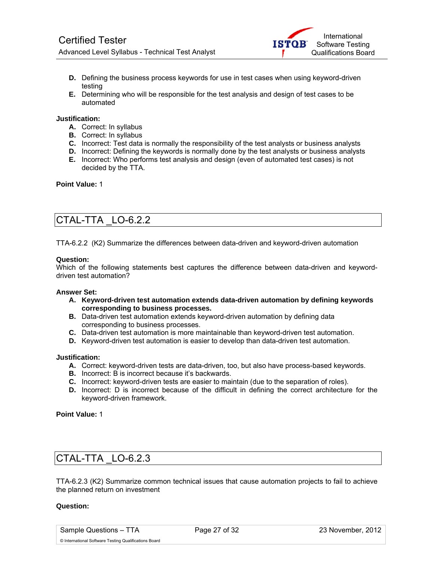

- **D.** Defining the business process keywords for use in test cases when using keyword-driven testing
- **E.** Determining who will be responsible for the test analysis and design of test cases to be automated

### **Justification:**

- **A.** Correct: In syllabus
- **B.** Correct: In syllabus
- **C.** Incorrect: Test data is normally the responsibility of the test analysts or business analysts
- **D.** Incorrect: Defining the keywords is normally done by the test analysts or business analysts
- **E.** Incorrect: Who performs test analysis and design (even of automated test cases) is not decided by the TTA.

### **Point Value:** 1

### CTAL-TTA \_LO-6.2.2

TTA-6.2.2 (K2) Summarize the differences between data-driven and keyword-driven automation

### **Question:**

Which of the following statements best captures the difference between data-driven and keyworddriven test automation?

#### **Answer Set:**

- **A. Keyword-driven test automation extends data-driven automation by defining keywords corresponding to business processes.**
- **B.** Data-driven test automation extends keyword-driven automation by defining data corresponding to business processes.
- **C.** Data-driven test automation is more maintainable than keyword-driven test automation.
- **D.** Keyword-driven test automation is easier to develop than data-driven test automation.

### **Justification:**

- **A.** Correct: keyword-driven tests are data-driven, too, but also have process-based keywords.
- **B.** Incorrect: B is incorrect because it's backwards.
- **C.** Incorrect: keyword-driven tests are easier to maintain (due to the separation of roles).
- **D.** Incorrect: D is incorrect because of the difficult in defining the correct architecture for the keyword-driven framework.

**Point Value:** 1

### CTAL-TTA \_LO-6.2.3

TTA-6.2.3 (K2) Summarize common technical issues that cause automation projects to fail to achieve the planned return on investment

#### **Question:**

Sample Questions – TTA Page 27 of 32 23 November, 2012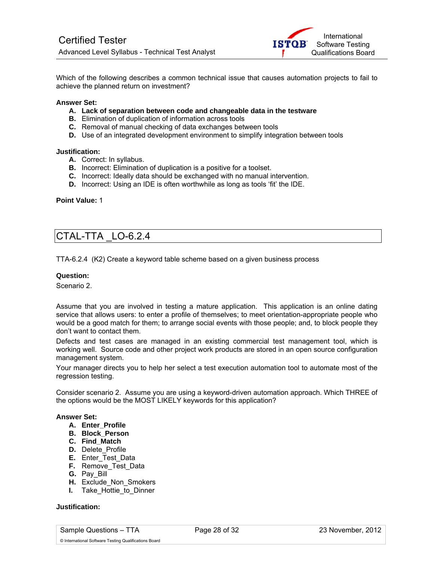

Which of the following describes a common technical issue that causes automation projects to fail to achieve the planned return on investment?

### **Answer Set:**

- **A. Lack of separation between code and changeable data in the testware**
- **B.** Elimination of duplication of information across tools
- **C.** Removal of manual checking of data exchanges between tools
- **D.** Use of an integrated development environment to simplify integration between tools

### **Justification:**

- **A.** Correct: In syllabus.
- **B.** Incorrect: Elimination of duplication is a positive for a toolset.
- **C.** Incorrect: Ideally data should be exchanged with no manual intervention.
- **D.** Incorrect: Using an IDE is often worthwhile as long as tools 'fit' the IDE.

### **Point Value:** 1

### CTAL-TTA \_LO-6.2.4

TTA-6.2.4 (K2) Create a keyword table scheme based on a given business process

### **Question:**

Scenario 2.

Assume that you are involved in testing a mature application. This application is an online dating service that allows users: to enter a profile of themselves; to meet orientation-appropriate people who would be a good match for them; to arrange social events with those people; and, to block people they don't want to contact them.

Defects and test cases are managed in an existing commercial test management tool, which is working well. Source code and other project work products are stored in an open source configuration management system.

Your manager directs you to help her select a test execution automation tool to automate most of the regression testing.

Consider scenario 2. Assume you are using a keyword-driven automation approach. Which THREE of the options would be the MOST LIKELY keywords for this application?

### **Answer Set:**

- **A. Enter\_Profile**
- **B. Block\_Person**
- **C. Find\_Match**
- **D.** Delete Profile
- **E.** Enter Test Data
- **F.** Remove Test Data
- **G.** Pay\_Bill
- **H.** Exclude Non Smokers
- **I.** Take Hottie to Dinner

### **Justification:**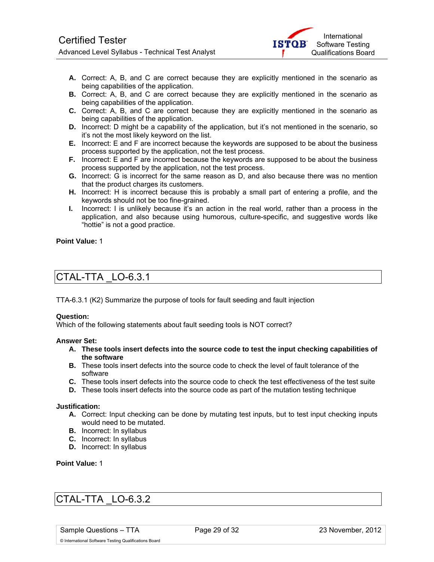

- **A.** Correct: A, B, and C are correct because they are explicitly mentioned in the scenario as being capabilities of the application.
- **B.** Correct: A, B, and C are correct because they are explicitly mentioned in the scenario as being capabilities of the application.
- **C.** Correct: A, B, and C are correct because they are explicitly mentioned in the scenario as being capabilities of the application.
- **D.** Incorrect: D might be a capability of the application, but it's not mentioned in the scenario, so it's not the most likely keyword on the list.
- **E.** Incorrect: E and F are incorrect because the keywords are supposed to be about the business process supported by the application, not the test process.
- **F.** Incorrect: E and F are incorrect because the keywords are supposed to be about the business process supported by the application, not the test process.
- **G.** Incorrect: G is incorrect for the same reason as D, and also because there was no mention that the product charges its customers.
- **H.** Incorrect: H is incorrect because this is probably a small part of entering a profile, and the keywords should not be too fine-grained.
- **I.** Incorrect: I is unlikely because it's an action in the real world, rather than a process in the application, and also because using humorous, culture-specific, and suggestive words like "hottie" is not a good practice.

### **Point Value:** 1

### CTAL-TTA \_LO-6.3.1

TTA-6.3.1 (K2) Summarize the purpose of tools for fault seeding and fault injection

### **Question:**

Which of the following statements about fault seeding tools is NOT correct?

### **Answer Set:**

- **A. These tools insert defects into the source code to test the input checking capabilities of the software**
- **B.** These tools insert defects into the source code to check the level of fault tolerance of the software
- **C.** These tools insert defects into the source code to check the test effectiveness of the test suite
- **D.** These tools insert defects into the source code as part of the mutation testing technique

### **Justification:**

- **A.** Correct: Input checking can be done by mutating test inputs, but to test input checking inputs would need to be mutated.
- **B.** Incorrect: In syllabus
- **C.** Incorrect: In syllabus
- **D.** Incorrect: In syllabus

**Point Value:** 1

### CTAL-TTA \_LO-6.3.2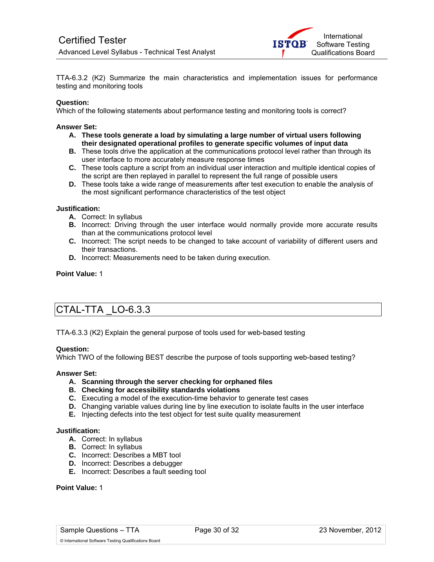

TTA-6.3.2 (K2) Summarize the main characteristics and implementation issues for performance testing and monitoring tools

### **Question:**

Which of the following statements about performance testing and monitoring tools is correct?

### **Answer Set:**

- **A. These tools generate a load by simulating a large number of virtual users following their designated operational profiles to generate specific volumes of input data**
- **B.** These tools drive the application at the communications protocol level rather than through its user interface to more accurately measure response times
- **C.** These tools capture a script from an individual user interaction and multiple identical copies of the script are then replayed in parallel to represent the full range of possible users
- **D.** These tools take a wide range of measurements after test execution to enable the analysis of the most significant performance characteristics of the test object

#### **Justification:**

- **A.** Correct: In syllabus
- **B.** Incorrect: Driving through the user interface would normally provide more accurate results than at the communications protocol level
- **C.** Incorrect: The script needs to be changed to take account of variability of different users and their transactions.
- **D.** Incorrect: Measurements need to be taken during execution.

### **Point Value:** 1

### CTAL-TTA \_LO-6.3.3

TTA-6.3.3 (K2) Explain the general purpose of tools used for web-based testing

#### **Question:**

Which TWO of the following BEST describe the purpose of tools supporting web-based testing?

#### **Answer Set:**

- **A. Scanning through the server checking for orphaned files**
- **B. Checking for accessibility standards violations**
- **C.** Executing a model of the execution-time behavior to generate test cases
- **D.** Changing variable values during line by line execution to isolate faults in the user interface
- **E.** Injecting defects into the test object for test suite quality measurement

#### **Justification:**

- **A.** Correct: In syllabus
- **B.** Correct: In syllabus
- **C.** Incorrect: Describes a MBT tool
- **D.** Incorrect: Describes a debugger
- **E.** Incorrect: Describes a fault seeding tool

### **Point Value:** 1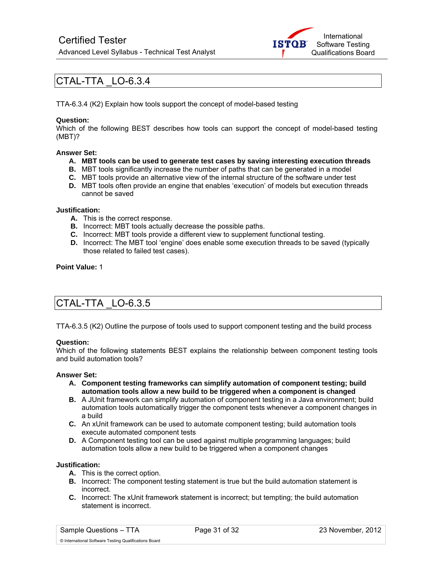

### CTAL-TTA \_LO-6.3.4

TTA-6.3.4 (K2) Explain how tools support the concept of model-based testing

### **Question:**

Which of the following BEST describes how tools can support the concept of model-based testing (MBT)?

### **Answer Set:**

- **A. MBT tools can be used to generate test cases by saving interesting execution threads**
- **B.** MBT tools significantly increase the number of paths that can be generated in a model
- **C.** MBT tools provide an alternative view of the internal structure of the software under test
- **D.** MBT tools often provide an engine that enables 'execution' of models but execution threads cannot be saved

### **Justification:**

- **A.** This is the correct response.
- **B.** Incorrect: MBT tools actually decrease the possible paths.
- **C.** Incorrect: MBT tools provide a different view to supplement functional testing.
- **D.** Incorrect: The MBT tool 'engine' does enable some execution threads to be saved (typically those related to failed test cases).

### **Point Value:** 1

### CTAL-TTA \_LO-6.3.5

TTA-6.3.5 (K2) Outline the purpose of tools used to support component testing and the build process

#### **Question:**

Which of the following statements BEST explains the relationship between component testing tools and build automation tools?

#### **Answer Set:**

- **A. Component testing frameworks can simplify automation of component testing; build automation tools allow a new build to be triggered when a component is changed**
- **B.** A JUnit framework can simplify automation of component testing in a Java environment; build automation tools automatically trigger the component tests whenever a component changes in a build
- **C.** An xUnit framework can be used to automate component testing; build automation tools execute automated component tests
- **D.** A Component testing tool can be used against multiple programming languages; build automation tools allow a new build to be triggered when a component changes

#### **Justification:**

- **A.** This is the correct option.
- **B.** Incorrect: The component testing statement is true but the build automation statement is incorrect.
- **C.** Incorrect: The xUnit framework statement is incorrect; but tempting; the build automation statement is incorrect.